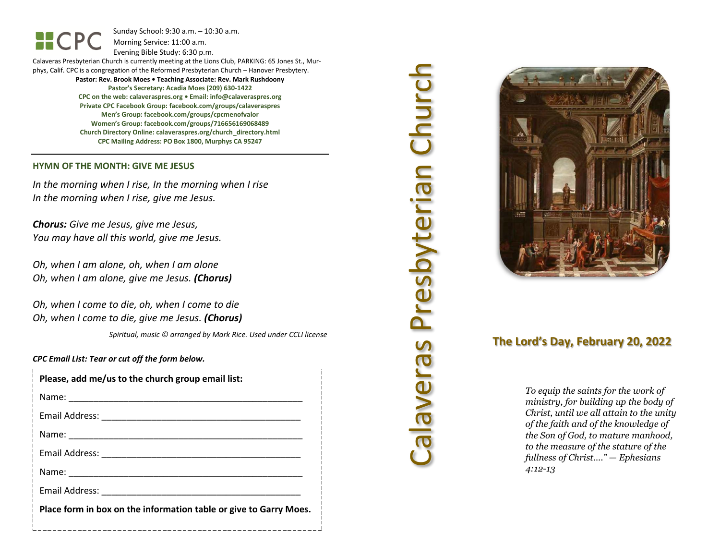Sunday School: 9: 3 0 a.m. – 10:30 a.m. Morning Service: 1 1 :00 a.m.

Evening Bible Study: 6: 30 p.m.

Calaveras Presbyterian Church is currently meeting at the Lions Club, PARKING: 65 Jones St., Murphys, Calif. CPC is a congregation of the Reformed Presbyterian Church – Hanover Presbytery. **Pastor: Rev. Brook Moes • Teaching Associate: Rev. Mark Rushdoony**

**Pastor's Secretary: Acadia Moes (209) 630 -1422 CPC on the web: calaveraspres.org • Email: [info@calaveraspres.org](mailto:info@calaveraspres.org) Private CPC Facebook Group: facebook.com/groups/calaveraspres Men's Group: facebook.com/groups/cpcmenofvalor Women's Group: facebook.com/groups/716656169068489 Church Directory Online: calaveraspres.org/church \_directory.html CPC Mailing Address: PO Box 1800, Murphys CA 95247**

### **HYMN OF THE MONTH: GIVE ME JESUS**

*In the morning when I rise, In the morning when I rise In the morning when I rise, give me Jesus .*

*Chorus: Give me Jesus, give me Jesus, You may have all this world, give me Jesus .*

*Oh, when I am alone, oh, when I am alone Oh, when I am alone, give me Jesus . (Chorus)*

*Oh, when I come to die, oh, when I come to die Oh, when I come to die, give me Jesus . (Chorus)*

*Spiritual, music © arranged by Mark Rice. Used under CCLI license*

### *CPC Email List: Tear or cut off the form below .*

| Please, add me/us to the church group email list:                                                              |
|----------------------------------------------------------------------------------------------------------------|
|                                                                                                                |
|                                                                                                                |
|                                                                                                                |
| Email Address: North and Sensing and Sensing and Sensing and Sensing and Sensing and Sensing and Sensing and S |
| Name: Name                                                                                                     |
| Email Address: North and Sensing and Sensing and Sensing and Sensing and Sensing and Sensing and Sensing and S |
| Place form in box on the information table or give to Garry Moes.                                              |
|                                                                                                                |

# Calaveras Presbyterian Church Calaveras Presbyterian Churc



# **The Lord's Day, February 20, 202 2**

*To equip the saints for the work of ministry, for building up the body of Christ, until we all attain to the unity of the faith and of the knowledge of the Son of God, to mature manhood, to the measure of the stature of the fullness of Christ…." — Ephesians 4:12 -13*